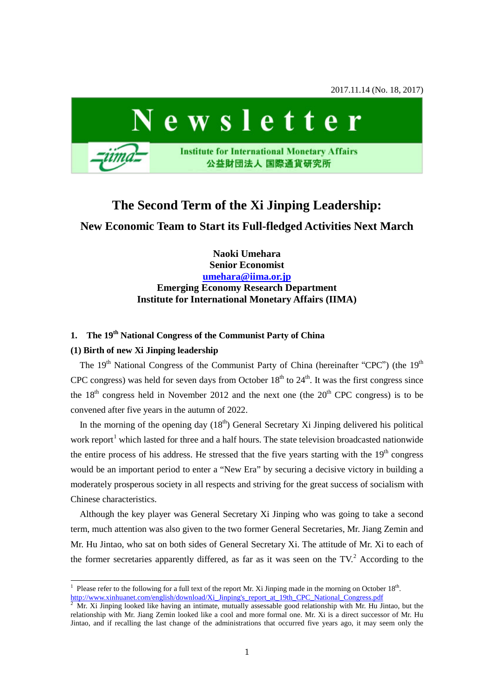2017.11.14 (No. 18, 2017)



# **The Second Term of the Xi Jinping Leadership: New Economic Team to Start its Full-fledged Activities Next March**

**Naoki Umehara Senior Economist [umehara@iima.or.jp](mailto:umehara@iima.or.jp) Emerging Economy Research Department Institute for International Monetary Affairs (IIMA)**

# **1. The 19th National Congress of the Communist Party of China**

### **(1) Birth of new Xi Jinping leadership**

The  $19<sup>th</sup>$  National Congress of the Communist Party of China (hereinafter "CPC") (the  $19<sup>th</sup>$ CPC congress) was held for seven days from October  $18<sup>th</sup>$  to  $24<sup>th</sup>$ . It was the first congress since the  $18<sup>th</sup>$  congress held in November 2012 and the next one (the  $20<sup>th</sup>$  CPC congress) is to be convened after five years in the autumn of 2022.

In the morning of the opening day  $(18<sup>th</sup>)$  General Secretary Xi Jinping delivered his political work report<sup>[1](#page-0-0)</sup> which lasted for three and a half hours. The state television broadcasted nationwide the entire process of his address. He stressed that the five years starting with the  $19<sup>th</sup>$  congress would be an important period to enter a "New Era" by securing a decisive victory in building a moderately prosperous society in all respects and striving for the great success of socialism with Chinese characteristics.

Although the key player was General Secretary Xi Jinping who was going to take a second term, much attention was also given to the two former General Secretaries, Mr. Jiang Zemin and Mr. Hu Jintao, who sat on both sides of General Secretary Xi. The attitude of Mr. Xi to each of the former secretaries apparently differed, as far as it was seen on the  $TV<sup>2</sup>$  $TV<sup>2</sup>$  $TV<sup>2</sup>$ . According to the

<span id="page-0-0"></span><sup>&</sup>lt;sup>1</sup> Please refer to the following for a full text of the report Mr. Xi Jinping made in the morning on October  $18<sup>th</sup>$ . [http://www.xinhuanet.com/english/download/Xi\\_Jinping's\\_report\\_at\\_19th\\_CPC\\_National\\_Congress.pdf](http://www.xinhuanet.com/english/download/Xi_Jinping)

<span id="page-0-1"></span><sup>2</sup> Mr. Xi Jinping looked like having an intimate, mutually assessable good relationship with Mr. Hu Jintao, but the relationship with Mr. Jiang Zemin looked like a cool and more formal one. Mr. Xi is a direct successor of Mr. Hu Jintao, and if recalling the last change of the administrations that occurred five years ago, it may seem only the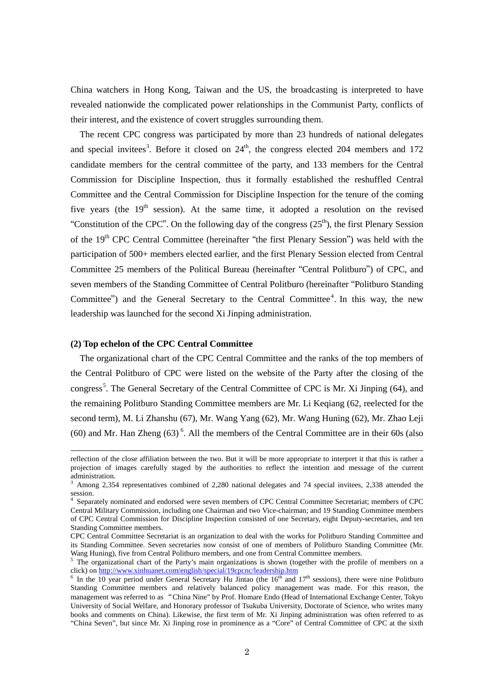China watchers in Hong Kong, Taiwan and the US, the broadcasting is interpreted to have revealed nationwide the complicated power relationships in the Communist Party, conflicts of their interest, and the existence of covert struggles surrounding them.

The recent CPC congress was participated by more than 23 hundreds of national delegates and special invitees<sup>[3](#page-1-0)</sup>. Before it closed on  $24<sup>th</sup>$ , the congress elected 204 members and 172 candidate members for the central committee of the party, and 133 members for the Central Commission for Discipline Inspection, thus it formally established the reshuffled Central Committee and the Central Commission for Discipline Inspection for the tenure of the coming five years (the  $19<sup>th</sup>$  session). At the same time, it adopted a resolution on the revised "Constitution of the CPC". On the following day of the congress  $(25<sup>th</sup>)$ , the first Plenary Session of the 19<sup>th</sup> CPC Central Committee (hereinafter "the first Plenary Session") was held with the participation of 500+ members elected earlier, and the first Plenary Session elected from Central Committee 25 members of the Political Bureau (hereinafter "Central Politburo") of CPC, and seven members of the Standing Committee of Central Politburo (hereinafter "Politburo Standing Committee") and the General Secretary to the Central Committee<sup>[4](#page-1-1)</sup>. In this way, the new leadership was launched for the second Xi Jinping administration.

### **(2) Top echelon of the CPC Central Committee**

 $\overline{a}$ 

The organizational chart of the CPC Central Committee and the ranks of the top members of the Central Politburo of CPC were listed on the website of the Party after the closing of the congress<sup>[5](#page-1-2)</sup>. The General Secretary of the Central Committee of CPC is Mr. Xi Jinping (64), and the remaining Politburo Standing Committee members are Mr. Li Keqiang (62, reelected for the second term), M. [Li Zhanshu](http://news.xinhuanet.com/english/2017-10/25/c_136705587.htm) (67), Mr. [Wang Yang](http://news.xinhuanet.com/english/2017-10/25/c_136705533.htm) (62), Mr. [Wang Huning](http://news.xinhuanet.com/english/2017-10/25/c_136705544.htm) (62), Mr. [Zhao Leji](http://news.xinhuanet.com/english/2017-10/25/c_136705564.htm)  $(60)$  $(60)$  $(60)$  and Mr. [Han Zheng](http://news.xinhuanet.com/english/2017-10/25/c_136705571.htm)  $(63)$ <sup>6</sup>. All the members of the Central Committee are in their 60s (also

reflection of the close affiliation between the two. But it will be more appropriate to interpret it that this is rather a projection of images carefully staged by the authorities to reflect the intention and message of the current administration.

<span id="page-1-0"></span><sup>&</sup>lt;sup>3</sup> Among 2,354 representatives combined of 2,280 national delegates and 74 special invitees, 2,338 attended the  $\frac{\text{m01}}{4}$ 

<span id="page-1-1"></span><sup>4</sup> Separately nominated and endorsed were seven members of CPC Central Committee Secretariat; members of CPC Central Military Commission, including one Chairman and two Vice-chairman; and 19 Standing Committee members of CPC Central Commission for Discipline Inspection consisted of one Secretary, eight Deputy-secretaries, and ten Standing Committee members.

CPC Central Committee Secretariat is an organization to deal with the works for Politburo Standing Committee and its Standing Committee. Seven secretaries now consist of one of members of Politburo Standing Committee (Mr. Wang Huning), five from Central Politburo members, and one from Central Committee members.

<span id="page-1-2"></span><sup>&</sup>lt;sup>5</sup> The organizational chart of the Party's main organizations is shown (together with the profile of members on a click) on http://www.xinhuanet.com/english/special/19cpcnc/leadership.htm

<span id="page-1-3"></span><sup>&</sup>lt;sup>6</sup> In the 10 year period under General Secretary Hu Jintao (the  $16<sup>th</sup>$  and  $17<sup>th</sup>$  sessions), there were nine Politburo Standing Committee members and relatively balanced policy management was made. For this reason, the management was referred to as "China Nine" by Prof. Homare Endo (Head of International Exchange Center, Tokyo University of Social Welfare, and Honorary professor of Tsukuba University, Doctorate of Science, who writes many books and comments on China). Likewise, the first term of Mr. Xi Jinping administration was often referred to as "China Seven", but since Mr. Xi Jinping rose in prominence as a "Core" of Central Committee of CPC at the sixth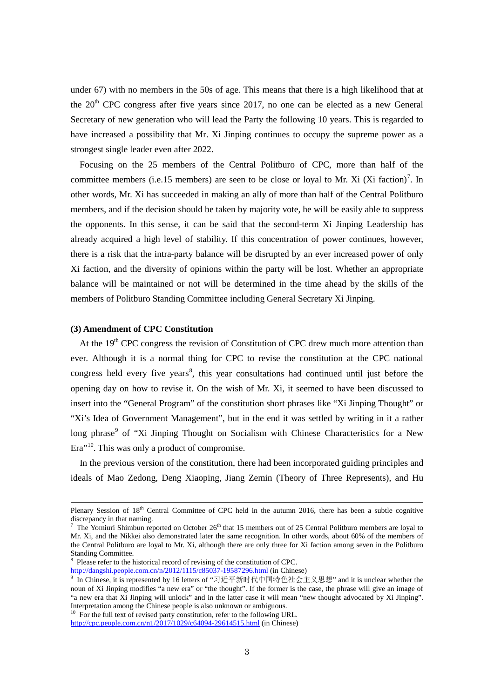under 67) with no members in the 50s of age. This means that there is a high likelihood that at the  $20<sup>th</sup>$  CPC congress after five years since 2017, no one can be elected as a new General Secretary of new generation who will lead the Party the following 10 years. This is regarded to have increased a possibility that Mr. Xi Jinping continues to occupy the supreme power as a strongest single leader even after 2022.

Focusing on the 25 members of the Central Politburo of CPC, more than half of the committee members (i.e.15 members) are seen to be close or loyal to Mr. Xi (Xi faction)<sup>[7](#page-2-0)</sup>. In other words, Mr. Xi has succeeded in making an ally of more than half of the Central Politburo members, and if the decision should be taken by majority vote, he will be easily able to suppress the opponents. In this sense, it can be said that the second-term Xi Jinping Leadership has already acquired a high level of stability. If this concentration of power continues, however, there is a risk that the intra-party balance will be disrupted by an ever increased power of only Xi faction, and the diversity of opinions within the party will be lost. Whether an appropriate balance will be maintained or not will be determined in the time ahead by the skills of the members of Politburo Standing Committee including General Secretary Xi Jinping.

#### **(3) Amendment of CPC Constitution**

 $\overline{a}$ 

At the 19<sup>th</sup> CPC congress the revision of Constitution of CPC drew much more attention than ever. Although it is a normal thing for CPC to revise the constitution at the CPC national congress held every five years<sup>[8](#page-2-1)</sup>, this year consultations had continued until just before the opening day on how to revise it. On the wish of Mr. Xi, it seemed to have been discussed to insert into the "General Program" of the constitution short phrases like "Xi Jinping Thought" or "Xi's Idea of Government Management", but in the end it was settled by writing in it a rather long phrase<sup>[9](#page-2-2)</sup> of "Xi Jinping Thought on Socialism with Chinese Characteristics for a New Era"<sup>10</sup>. This was only a product of compromise.

In the previous version of the constitution, there had been incorporated guiding principles and ideals of Mao Zedong, Deng Xiaoping, Jiang Zemin (Theory of Three Represents), and Hu

http://dangshi.people.com.cn/n/2012/1115/c85037-19587296.html (in Chinese)

Plenary Session of 18<sup>th</sup> Central Committee of CPC held in the autumn 2016, there has been a subtle cognitive discrepancy in that naming.

<span id="page-2-0"></span><sup>&</sup>lt;sup>7</sup> The Yomiuri Shimbun reported on October 26<sup>th</sup> that 15 members out of 25 Central Politburo members are loyal to Mr. Xi, and the Nikkei also demonstrated later the same recognition. In other words, about 60% of the members of the Central Politburo are loyal to Mr. Xi, although there are only three for Xi faction among seven in the Politburo Standing Committee.

<span id="page-2-1"></span><sup>&</sup>lt;sup>8</sup> Please refer to the historical record of revising of the constitution of CPC.

<span id="page-2-2"></span><sup>&</sup>lt;sup>9</sup> In Chinese, it is represented by 16 letters of "习近平新时代中国特色社会主义思想" and it is unclear whether the noun of Xi Jinping modifies "a new era" or "the thought". If the former is the case, the phrase will give an image of "a new era that Xi Jinping will unlock" and in the latter case it will mean "new thought advocated by Xi Jinping". Interpretation among the Chinese people is also unknown or ambiguous.

<span id="page-2-3"></span> $10\,$  For the full text of revised party constitution, refer to the following URL. <http://cpc.people.com.cn/n1/2017/1029/c64094-29614515.html> (in Chinese)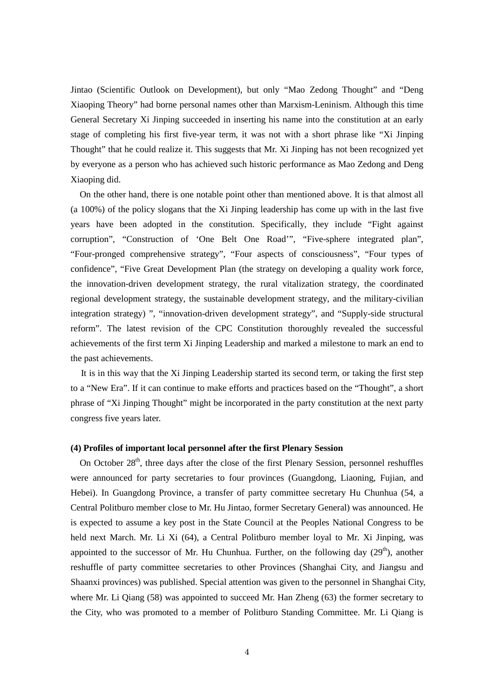Jintao (Scientific Outlook on Development), but only "Mao Zedong Thought" and "Deng Xiaoping Theory" had borne personal names other than Marxism-Leninism. Although this time General Secretary Xi Jinping succeeded in inserting his name into the constitution at an early stage of completing his first five-year term, it was not with a short phrase like "Xi Jinping Thought" that he could realize it. This suggests that Mr. Xi Jinping has not been recognized yet by everyone as a person who has achieved such historic performance as Mao Zedong and Deng Xiaoping did.

On the other hand, there is one notable point other than mentioned above. It is that almost all (a 100%) of the policy slogans that the Xi Jinping leadership has come up with in the last five years have been adopted in the constitution. Specifically, they include "Fight against corruption", "Construction of 'One Belt One Road'", "Five-sphere integrated plan", "Four-pronged comprehensive strategy", "Four aspects of consciousness", "Four types of confidence", "Five Great Development Plan (the strategy on developing a quality work force, the innovation-driven development strategy, the rural vitalization strategy, the coordinated regional development strategy, the sustainable development strategy, and the military-civilian integration strategy) ", "innovation-driven development strategy", and "Supply-side structural reform". The latest revision of the CPC Constitution thoroughly revealed the successful achievements of the first term Xi Jinping Leadership and marked a milestone to mark an end to the past achievements.

It is in this way that the Xi Jinping Leadership started its second term, or taking the first step to a "New Era". If it can continue to make efforts and practices based on the "Thought", a short phrase of "Xi Jinping Thought" might be incorporated in the party constitution at the next party congress five years later.

### **(4) Profiles of important local personnel after the first Plenary Session**

On October 28<sup>th</sup>, three days after the close of the first Plenary Session, personnel reshuffles were announced for party secretaries to four provinces (Guangdong, [Liaoning,](https://en.wikipedia.org/wiki/Liaoning) Fujian, and Hebei). In Guangdong Province, a transfer of party committee secretary Hu Chunhua (54, a Central Politburo member close to Mr. Hu Jintao, former Secretary General) was announced. He is expected to assume a key post in the State Council at the Peoples National Congress to be held next March. Mr. Li Xi (64), a Central Politburo member loyal to Mr. Xi Jinping, was appointed to the successor of Mr. Hu Chunhua. Further, on the following day  $(29<sup>th</sup>)$ , another reshuffle of party committee secretaries to other Provinces (Shanghai City, and Jiangsu and Shaanxi provinces) was published. Special attention was given to the personnel in Shanghai City, where Mr. Li Qiang (58) was appointed to succeed Mr. Han Zheng (63) the former secretary to the City, who was promoted to a member of Politburo Standing Committee. Mr. Li Qiang is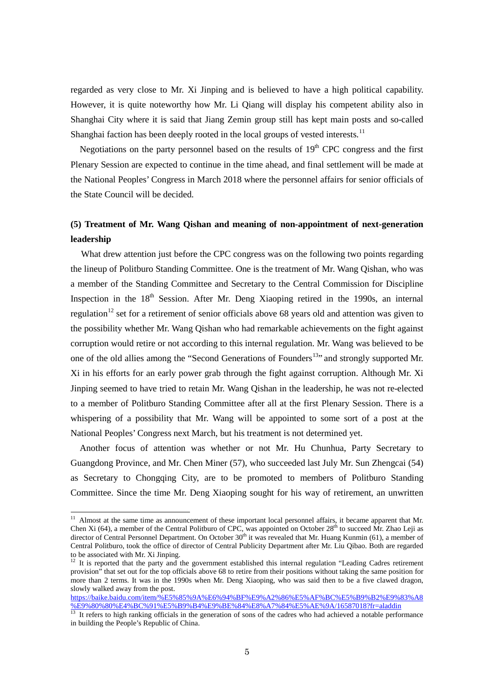regarded as very close to Mr. Xi Jinping and is believed to have a high political capability. However, it is quite noteworthy how Mr. Li Qiang will display his competent ability also in Shanghai City where it is said that Jiang Zemin group still has kept main posts and so-called Shanghai faction has been deeply rooted in the local groups of vested interests.<sup>[11](#page-4-0)</sup>

Negotiations on the party personnel based on the results of  $19<sup>th</sup>$  CPC congress and the first Plenary Session are expected to continue in the time ahead, and final settlement will be made at the National Peoples' Congress in March 2018 where the personnel affairs for senior officials of the State Council will be decided.

# **(5) Treatment of Mr. Wang Qishan and meaning of non-appointment of next-generation leadership**

What drew attention just before the CPC congress was on the following two points regarding the lineup of Politburo Standing Committee. One is the treatment of Mr. Wang Qishan, who was a member of the Standing Committee and Secretary to the Central Commission for Discipline Inspection in the  $18<sup>th</sup>$  Session. After Mr. Deng Xiaoping retired in the 1990s, an internal regulation<sup>[12](#page-4-1)</sup> set for a retirement of senior officials above 68 years old and attention was given to the possibility whether Mr. Wang Qishan who had remarkable achievements on the fight against corruption would retire or not according to this internal regulation. Mr. Wang was believed to be one of the old allies among the "Second Generations of Founders<sup>13</sup>" and strongly supported Mr. Xi in his efforts for an early power grab through the fight against corruption. Although Mr. Xi Jinping seemed to have tried to retain Mr. Wang Qishan in the leadership, he was not re-elected to a member of Politburo Standing Committee after all at the first Plenary Session. There is a whispering of a possibility that Mr. Wang will be appointed to some sort of a post at the National Peoples' Congress next March, but his treatment is not determined yet.

Another focus of attention was whether or not Mr. Hu Chunhua, Party Secretary to Guangdong Province, and Mr. Chen Miner (57), who succeeded last July Mr. Sun Zhengcai (54) as Secretary to Chongqing City, are to be promoted to members of Politburo Standing Committee. Since the time Mr. Deng Xiaoping sought for his way of retirement, an unwritten

[https://baike.baidu.com/item/%E5%85%9A%E6%94%BF%E9%A2%86%E5%AF%BC%E5%B9%B2%E9%83%A8](https://baike.baidu.com/item/%E5%85%9A%E6%94%BF%E9%A2%86%E5%AF%BC%E5%B9%B2%E9%83%A8%E9%80%80%E4%BC%91%E5%B9%B4%E9%BE%84%E8%A7%84%E5%AE%9A/16587018?fr=aladdin) [%E9%80%80%E4%BC%91%E5%B9%B4%E9%BE%84%E8%A7%84%E5%AE%9A/16587018?fr=aladdin](https://baike.baidu.com/item/%E5%85%9A%E6%94%BF%E9%A2%86%E5%AF%BC%E5%B9%B2%E9%83%A8%E9%80%80%E4%BC%91%E5%B9%B4%E9%BE%84%E8%A7%84%E5%AE%9A/16587018?fr=aladdin) <sup>13</sup> It refers to high ranking officials in the generation of sons of the cadres who had achieved a notable performance

<span id="page-4-0"></span><sup>&</sup>lt;sup>11</sup> Almost at the same time as announcement of these important local personnel affairs, it became apparent that Mr. Chen Xi (64), a member of the Central Politburo of CPC, was appointed on October  $28<sup>th</sup>$  to succeed Mr. Zhao Leji as director of Central Personnel Department. On October 30<sup>th</sup> it was revealed that Mr. Huang Kunmin (61), a member of Central Politburo, took the office of director of Central Publicity Department after Mr. Liu Qibao. Both are regarded to be associated with Mr. Xi Jinping.

<span id="page-4-1"></span> $12$  It is reported that the party and the government established this internal regulation "Leading Cadres retirement provision" that set out for the top officials above 68 to retire from their positions without taking the same position for more than 2 terms. It was in the 1990s when Mr. Deng Xiaoping, who was said then to be a five clawed dragon, slowly walked away from the post.

<span id="page-4-2"></span>in building the People's Republic of China.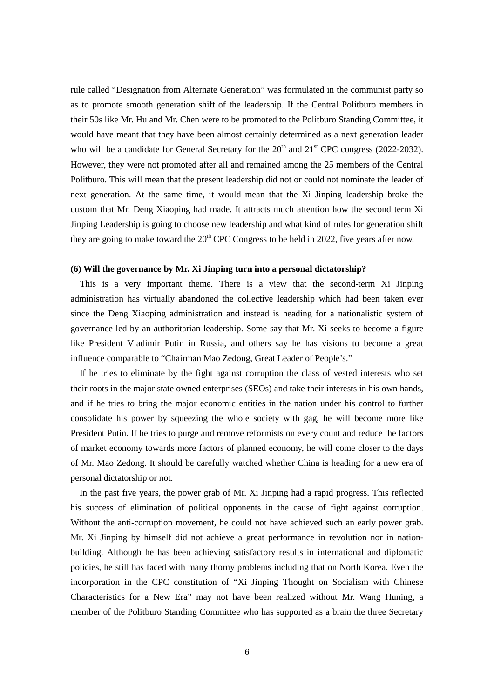rule called "Designation from Alternate Generation" was formulated in the communist party so as to promote smooth generation shift of the leadership. If the Central Politburo members in their 50s like Mr. Hu and Mr. Chen were to be promoted to the Politburo Standing Committee, it would have meant that they have been almost certainly determined as a next generation leader who will be a candidate for General Secretary for the  $20<sup>th</sup>$  and  $21<sup>st</sup>$  CPC congress (2022-2032). However, they were not promoted after all and remained among the 25 members of the Central Politburo. This will mean that the present leadership did not or could not nominate the leader of next generation. At the same time, it would mean that the Xi Jinping leadership broke the custom that Mr. Deng Xiaoping had made. It attracts much attention how the second term Xi Jinping Leadership is going to choose new leadership and what kind of rules for generation shift they are going to make toward the  $20<sup>th</sup>$  CPC Congress to be held in 2022, five years after now.

### **(6) Will the governance by Mr. Xi Jinping turn into a personal dictatorship?**

This is a very important theme. There is a view that the second-term Xi Jinping administration has virtually abandoned the collective leadership which had been taken ever since the Deng Xiaoping administration and instead is heading for a nationalistic system of governance led by an authoritarian leadership. Some say that Mr. Xi seeks to become a figure like President Vladimir Putin in Russia, and others say he has visions to become a great influence comparable to "Chairman Mao Zedong, Great Leader of People's."

If he tries to eliminate by the fight against corruption the class of vested interests who set their roots in the major state owned enterprises (SEOs) and take their interests in his own hands, and if he tries to bring the major economic entities in the nation under his control to further consolidate his power by squeezing the whole society with gag, he will become more like President Putin. If he tries to purge and remove reformists on every count and reduce the factors of market economy towards more factors of planned economy, he will come closer to the days of Mr. Mao Zedong. It should be carefully watched whether China is heading for a new era of personal dictatorship or not.

In the past five years, the power grab of Mr. Xi Jinping had a rapid progress. This reflected his success of elimination of political opponents in the cause of fight against corruption. Without the anti-corruption movement, he could not have achieved such an early power grab. Mr. Xi Jinping by himself did not achieve a great performance in revolution nor in nationbuilding. Although he has been achieving satisfactory results in international and diplomatic policies, he still has faced with many thorny problems including that on North Korea. Even the incorporation in the CPC constitution of "Xi Jinping [Thought on Socialism with Chinese](https://en.wikipedia.org/wiki/Xi_Jinping_Thought_on_Socialism_with_Chinese_Characteristics_for_a_New_Era)  [Characteristics for a New Era"](https://en.wikipedia.org/wiki/Xi_Jinping_Thought_on_Socialism_with_Chinese_Characteristics_for_a_New_Era) may not have been realized without Mr. Wang Huning, a member of the Politburo Standing Committee who has supported as a brain the three Secretary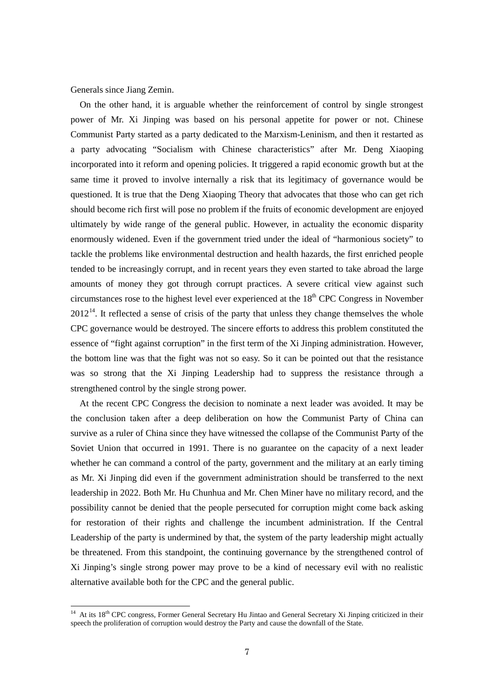Generals since Jiang Zemin.

On the other hand, it is arguable whether the reinforcement of control by single strongest power of Mr. Xi Jinping was based on his personal appetite for power or not. Chinese Communist Party started as a party dedicated to the Marxism-Leninism, and then it restarted as a party advocating "Socialism with Chinese characteristics" after Mr. Deng Xiaoping incorporated into it reform and opening policies. It triggered a rapid economic growth but at the same time it proved to involve internally a risk that its legitimacy of governance would be questioned. It is true that the Deng Xiaoping Theory that advocates that those who can get rich should become rich first will pose no problem if the fruits of economic development are enjoyed ultimately by wide range of the general public. However, in actuality the economic disparity enormously widened. Even if the government tried under the ideal of "harmonious society" to tackle the problems like environmental destruction and health hazards, the first enriched people tended to be increasingly corrupt, and in recent years they even started to take abroad the large amounts of money they got through corrupt practices. A severe critical view against such circumstances rose to the highest level ever experienced at the  $18<sup>th</sup>$  CPC Congress in November  $2012<sup>14</sup>$ . It reflected a sense of crisis of the party that unless they change themselves the whole CPC governance would be destroyed. The sincere efforts to address this problem constituted the essence of "fight against corruption" in the first term of the Xi Jinping administration. However, the bottom line was that the fight was not so easy. So it can be pointed out that the resistance was so strong that the Xi Jinping Leadership had to suppress the resistance through a strengthened control by the single strong power.

At the recent CPC Congress the decision to nominate a next leader was avoided. It may be the conclusion taken after a deep deliberation on how the Communist Party of China can survive as a ruler of China since they have witnessed the collapse of the Communist Party of the Soviet Union that occurred in 1991. There is no guarantee on the capacity of a next leader whether he can command a control of the party, government and the military at an early timing as Mr. Xi Jinping did even if the government administration should be transferred to the next leadership in 2022. Both Mr. Hu Chunhua and Mr. Chen Miner have no military record, and the possibility cannot be denied that the people persecuted for corruption might come back asking for restoration of their rights and challenge the incumbent administration. If the Central Leadership of the party is undermined by that, the system of the party leadership might actually be threatened. From this standpoint, the continuing governance by the strengthened control of Xi Jinping's single strong power may prove to be a kind of necessary evil with no realistic alternative available both for the CPC and the general public.

<span id="page-6-0"></span><sup>&</sup>lt;sup>14</sup> At its 18<sup>th</sup> CPC congress, Former General Secretary Hu Jintao and General Secretary Xi Jinping criticized in their speech the proliferation of corruption would destroy the Party and cause the downfall of the State.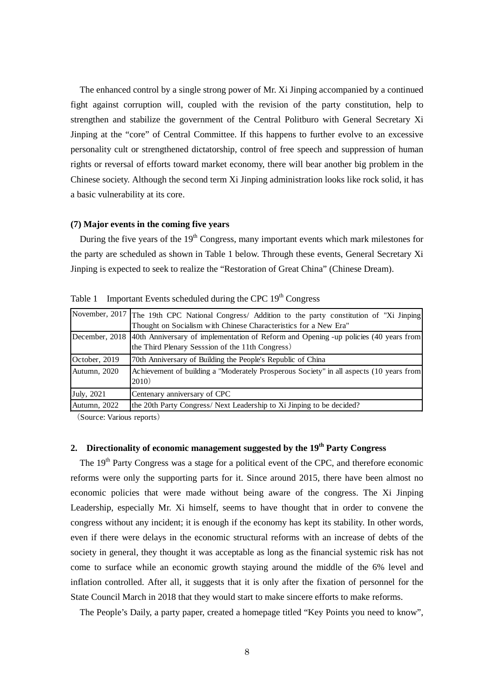The enhanced control by a single strong power of Mr. Xi Jinping accompanied by a continued fight against corruption will, coupled with the revision of the party constitution, help to strengthen and stabilize the government of the Central Politburo with General Secretary Xi Jinping at the "core" of Central Committee. If this happens to further evolve to an excessive personality cult or strengthened dictatorship, control of free speech and suppression of human rights or reversal of efforts toward market economy, there will bear another big problem in the Chinese society. Although the second term Xi Jinping administration looks like rock solid, it has a basic vulnerability at its core.

### **(7) Major events in the coming five years**

During the five years of the  $19<sup>th</sup>$  Congress, many important events which mark milestones for the party are scheduled as shown in Table 1 below. Through these events, General Secretary Xi Jinping is expected to seek to realize the "Restoration of Great China" (Chinese Dream).

|                    | November, 2017   The 19th CPC National Congress/ Addition to the party constitution of "Xi Jinping<br>Thought on Socialism with Chinese Characteristics for a New Era" |
|--------------------|------------------------------------------------------------------------------------------------------------------------------------------------------------------------|
|                    | December, 2018 40th Anniversary of implementation of Reform and Opening -up policies (40 years from<br>the Third Plenary Sesssion of the 11th Congress)                |
| October, 2019      | 70th Anniversary of Building the People's Republic of China                                                                                                            |
| Autumn, 2020       | Achievement of building a "Moderately Prosperous Society" in all aspects (10 years from<br>2010)                                                                       |
| <b>July</b> , 2021 | Centenary anniversary of CPC                                                                                                                                           |
| Autumn, 2022       | the 20th Party Congress/ Next Leadership to Xi Jinping to be decided?                                                                                                  |

Table 1 Important Events scheduled during the CPC  $19<sup>th</sup> Congress$ 

(Source: Various reports)

## **2. Directionality of economic management suggested by the 19th Party Congress**

The 19<sup>th</sup> Party Congress was a stage for a political event of the CPC, and therefore economic reforms were only the supporting parts for it. Since around 2015, there have been almost no economic policies that were made without being aware of the congress. The Xi Jinping Leadership, especially Mr. Xi himself, seems to have thought that in order to convene the congress without any incident; it is enough if the economy has kept its stability. In other words, even if there were delays in the economic structural reforms with an increase of debts of the society in general, they thought it was acceptable as long as the financial systemic risk has not come to surface while an economic growth staying around the middle of the 6% level and inflation controlled. After all, it suggests that it is only after the fixation of personnel for the State Council March in 2018 that they would start to make sincere efforts to make reforms.

The People's Daily, a party paper, created a homepage titled "Key Points you need to know",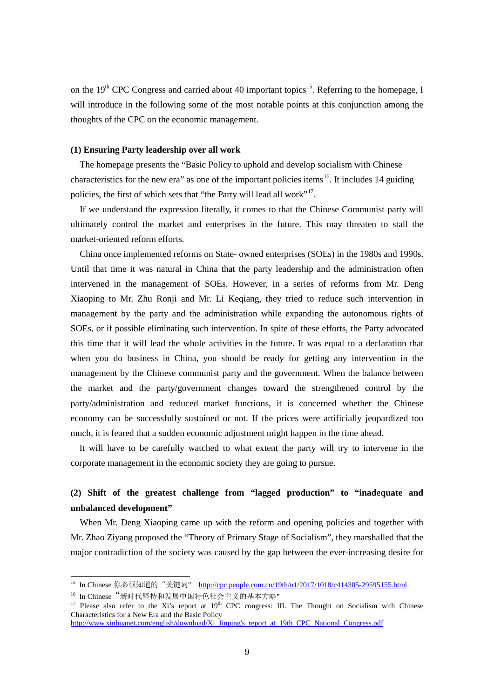on the 19<sup>th</sup> CPC Congress and carried about 40 important topics<sup>15</sup>. Referring to the homepage, I will introduce in the following some of the most notable points at this conjunction among the thoughts of the CPC on the economic management.

### **(1) Ensuring Party leadership over all work**

The homepage presents the "Basic Policy to uphold and develop socialism with Chinese characteristics for the new era" as one of the important policies items<sup>[16](#page-8-1)</sup>. It includes 14 guiding policies, the first of which sets that "the Party will lead all work"<sup>[17](#page-8-2)</sup>.

If we understand the expression literally, it comes to that the Chinese Communist party will ultimately control the market and enterprises in the future. This may threaten to stall the market-oriented reform efforts.

China once implemented reforms on State- owned enterprises (SOEs) in the 1980s and 1990s. Until that time it was natural in China that the party leadership and the administration often intervened in the management of SOEs. However, in a series of reforms from Mr. Deng Xiaoping to Mr. Zhu Ronji and Mr. Li Keqiang, they tried to reduce such intervention in management by the party and the administration while expanding the autonomous rights of SOEs, or if possible eliminating such intervention. In spite of these efforts, the Party advocated this time that it will lead the whole activities in the future. It was equal to a declaration that when you do business in China, you should be ready for getting any intervention in the management by the Chinese communist party and the government. When the balance between the market and the party/government changes toward the strengthened control by the party/administration and reduced market functions, it is concerned whether the Chinese economy can be successfully sustained or not. If the prices were artificially jeopardized too much, it is feared that a sudden economic adjustment might happen in the time ahead.

It will have to be carefully watched to what extent the party will try to intervene in the corporate management in the economic society they are going to pursue.

## **(2) Shift of the greatest challenge from "lagged production" to "inadequate and unbalanced development"**

When Mr. Deng Xiaoping came up with the reform and opening policies and together with Mr. Zhao Ziyang proposed the "Theory of Primary Stage of Socialism", they marshalled that the major contradiction of the society was caused by the gap between the ever-increasing desire for

1

[http://www.xinhuanet.com/english/download/Xi\\_Jinping's\\_report\\_at\\_19th\\_CPC\\_National\\_Congress.pdf](http://www.xinhuanet.com/english/download/Xi_Jinping)

<span id="page-8-0"></span><sup>&</sup>lt;sup>15</sup> In Chinese 你必须知道的"关键词" <http://cpc.people.com.cn/19th/n1/2017/1018/c414305-29595155.html>

<span id="page-8-1"></span><sup>&</sup>lt;sup>16</sup> In Chinese "新时代坚持和发展中国特色社会主义的基本方略"

<span id="page-8-2"></span><sup>&</sup>lt;sup>17</sup> Please also refer to the Xi's report at 19<sup>th</sup> CPC congress: III. The Thought on Socialism with Chinese Characteristics for a New Era and the Basic Policy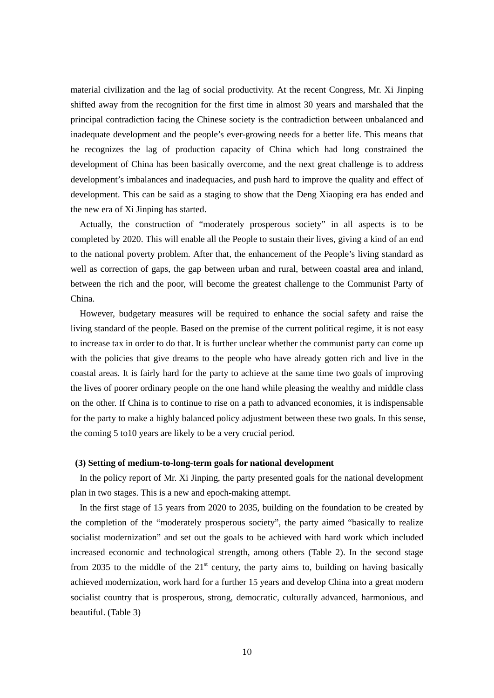material civilization and the lag of social productivity. At the recent Congress, Mr. Xi Jinping shifted away from the recognition for the first time in almost 30 years and marshaled that the principal contradiction facing the Chinese society is the contradiction between unbalanced and inadequate development and the people's ever-growing needs for a better life. This means that he recognizes the lag of production capacity of China which had long constrained the development of China has been basically overcome, and the next great challenge is to address development's imbalances and inadequacies, and push hard to improve the quality and effect of development. This can be said as a staging to show that the Deng Xiaoping era has ended and the new era of Xi Jinping has started.

Actually, the construction of "moderately prosperous society" in all aspects is to be completed by 2020. This will enable all the People to sustain their lives, giving a kind of an end to the national poverty problem. After that, the enhancement of the People's living standard as well as correction of gaps, the gap between urban and rural, between coastal area and inland, between the rich and the poor, will become the greatest challenge to the Communist Party of China.

However, budgetary measures will be required to enhance the social safety and raise the living standard of the people. Based on the premise of the current political regime, it is not easy to increase tax in order to do that. It is further unclear whether the communist party can come up with the policies that give dreams to the people who have already gotten rich and live in the coastal areas. It is fairly hard for the party to achieve at the same time two goals of improving the lives of poorer ordinary people on the one hand while pleasing the wealthy and middle class on the other. If China is to continue to rise on a path to advanced economies, it is indispensable for the party to make a highly balanced policy adjustment between these two goals. In this sense, the coming 5 to10 years are likely to be a very crucial period.

#### **(3) Setting of medium-to-long-term goals for national development**

In the policy report of Mr. Xi Jinping, the party presented goals for the national development plan in two stages. This is a new and epoch-making attempt.

In the first stage of 15 years from 2020 to 2035, building on the foundation to be created by the completion of the "moderately prosperous society", the party aimed "basically to realize socialist modernization" and set out the goals to be achieved with hard work which included increased economic and technological strength, among others (Table 2). In the second stage from 2035 to the middle of the  $21<sup>st</sup>$  century, the party aims to, building on having basically achieved modernization, work hard for a further 15 years and develop China into a great modern socialist country that is prosperous, strong, democratic, culturally advanced, harmonious, and beautiful. (Table 3)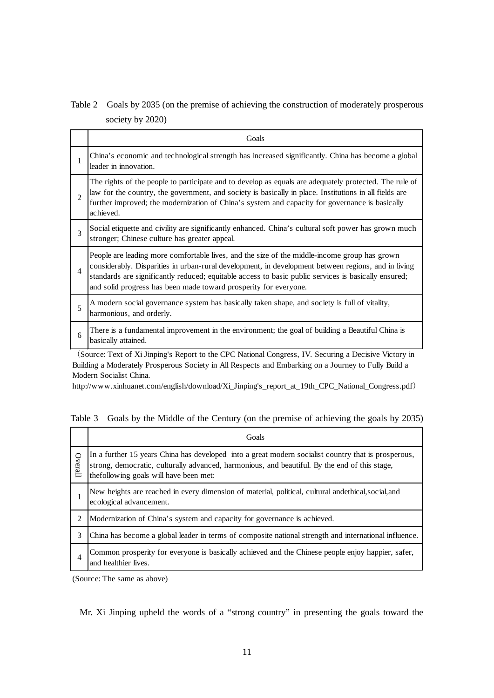# Table 2 Goals by 2035 (on the premise of achieving the construction of moderately prosperous society by 2020)

|                          | Goals                                                                                                                                                                                                                                                                                                                                                                           |
|--------------------------|---------------------------------------------------------------------------------------------------------------------------------------------------------------------------------------------------------------------------------------------------------------------------------------------------------------------------------------------------------------------------------|
| 1                        | China's economic and technological strength has increased significantly. China has become a global<br>leader in innovation.                                                                                                                                                                                                                                                     |
| $\overline{2}$           | The rights of the people to participate and to develop as equals are adequately protected. The rule of<br>law for the country, the government, and society is basically in place. Institutions in all fields are<br>further improved; the modernization of China's system and capacity for governance is basically<br>achieved.                                                 |
| 3                        | Social etiquette and civility are significantly enhanced. China's cultural soft power has grown much<br>stronger; Chinese culture has greater appeal.                                                                                                                                                                                                                           |
| $\overline{\mathcal{A}}$ | People are leading more comfortable lives, and the size of the middle-income group has grown<br>considerably. Disparities in urban-rural development, in development between regions, and in living<br>standards are significantly reduced; equitable access to basic public services is basically ensured;<br>and solid progress has been made toward prosperity for everyone. |
| 5                        | A modern social governance system has basically taken shape, and society is full of vitality,<br>harmonious, and orderly.                                                                                                                                                                                                                                                       |
| 6                        | There is a fundamental improvement in the environment; the goal of building a Beautiful China is<br>basically attained.                                                                                                                                                                                                                                                         |

(Source: Text of Xi Jinping's Report to the CPC National Congress, IV. Securing a Decisive Victory in Building a Moderately Prosperous Society in All Respects and Embarking on a Journey to Fully Build a Modern Socialist China.

http://www.xinhuanet.com/english/download/Xi\_Jinping's\_report\_at\_19th\_CPC\_National\_Congress.pdf)

Table 3 Goals by the Middle of the Century (on the premise of achieving the goals by 2035)

|         | Goals                                                                                                                                                                                                                                           |
|---------|-------------------------------------------------------------------------------------------------------------------------------------------------------------------------------------------------------------------------------------------------|
| Overall | In a further 15 years China has developed into a great modern socialist country that is prosperous,<br>strong, democratic, culturally advanced, harmonious, and beautiful. By the end of this stage,<br>the following goals will have been met: |
|         | New heights are reached in every dimension of material, political, cultural andethical, social, and<br>ecological advancement.                                                                                                                  |
| 2       | Modernization of China's system and capacity for governance is achieved.                                                                                                                                                                        |
| 3       | China has become a global leader in terms of composite national strength and international influence.                                                                                                                                           |
| 4       | Common prosperity for everyone is basically achieved and the Chinese people enjoy happier, safer,<br>and healthier lives.                                                                                                                       |

(Source: The same as above)

Mr. Xi Jinping upheld the words of a "strong country" in presenting the goals toward the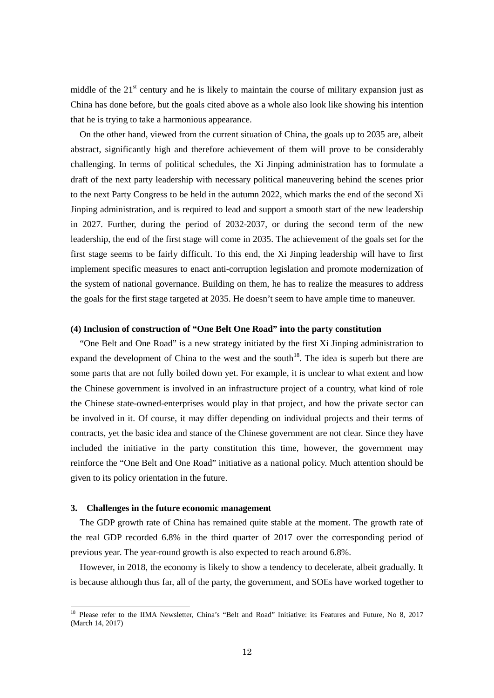middle of the  $21<sup>st</sup>$  century and he is likely to maintain the course of military expansion just as China has done before, but the goals cited above as a whole also look like showing his intention that he is trying to take a harmonious appearance.

On the other hand, viewed from the current situation of China, the goals up to 2035 are, albeit abstract, significantly high and therefore achievement of them will prove to be considerably challenging. In terms of political schedules, the Xi Jinping administration has to formulate a draft of the next party leadership with necessary political maneuvering behind the scenes prior to the next Party Congress to be held in the autumn 2022, which marks the end of the second Xi Jinping administration, and is required to lead and support a smooth start of the new leadership in 2027. Further, during the period of 2032-2037, or during the second term of the new leadership, the end of the first stage will come in 2035. The achievement of the goals set for the first stage seems to be fairly difficult. To this end, the Xi Jinping leadership will have to first implement specific measures to enact anti-corruption legislation and promote modernization of the system of national governance. Building on them, he has to realize the measures to address the goals for the first stage targeted at 2035. He doesn't seem to have ample time to maneuver.

#### **(4) Inclusion of construction of "One Belt One Road" into the party constitution**

"One Belt and One Road" is a new strategy initiated by the first Xi Jinping administration to expand the development of China to the west and the south<sup>[18](#page-11-0)</sup>. The idea is superb but there are some parts that are not fully boiled down yet. For example, it is unclear to what extent and how the Chinese government is involved in an infrastructure project of a country, what kind of role the Chinese state-owned-enterprises would play in that project, and how the private sector can be involved in it. Of course, it may differ depending on individual projects and their terms of contracts, yet the basic idea and stance of the Chinese government are not clear. Since they have included the initiative in the party constitution this time, however, the government may reinforce the "One Belt and One Road" initiative as a national policy. Much attention should be given to its policy orientation in the future.

#### **3. Challenges in the future economic management**

The GDP growth rate of China has remained quite stable at the moment. The growth rate of the real GDP recorded 6.8% in the third quarter of 2017 over the corresponding period of previous year. The year-round growth is also expected to reach around 6.8%.

However, in 2018, the economy is likely to show a tendency to decelerate, albeit gradually. It is because although thus far, all of the party, the government, and SOEs have worked together to

<span id="page-11-0"></span><sup>&</sup>lt;sup>18</sup> Please refer to the IIMA Newsletter, China's "Belt and Road" Initiative: its Features and Future, No 8, 2017 (March 14, 2017)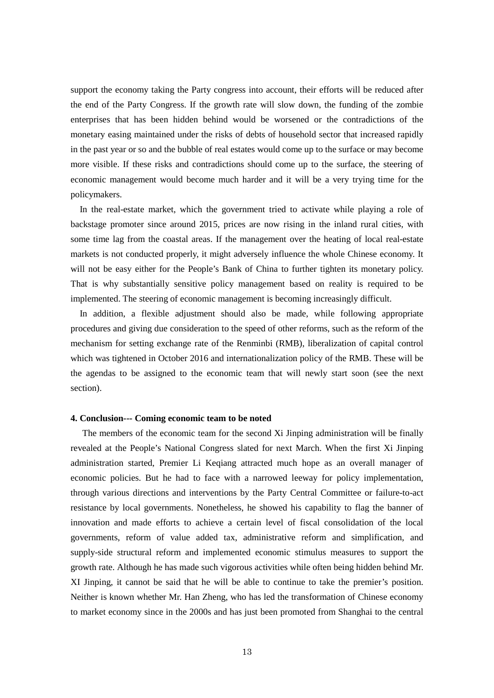support the economy taking the Party congress into account, their efforts will be reduced after the end of the Party Congress. If the growth rate will slow down, the funding of the zombie enterprises that has been hidden behind would be worsened or the contradictions of the monetary easing maintained under the risks of debts of household sector that increased rapidly in the past year or so and the bubble of real estates would come up to the surface or may become more visible. If these risks and contradictions should come up to the surface, the steering of economic management would become much harder and it will be a very trying time for the policymakers.

In the real-estate market, which the government tried to activate while playing a role of backstage promoter since around 2015, prices are now rising in the inland rural cities, with some time lag from the coastal areas. If the management over the heating of local real-estate markets is not conducted properly, it might adversely influence the whole Chinese economy. It will not be easy either for the People's Bank of China to further tighten its monetary policy. That is why substantially sensitive policy management based on reality is required to be implemented. The steering of economic management is becoming increasingly difficult.

In addition, a flexible adjustment should also be made, while following appropriate procedures and giving due consideration to the speed of other reforms, such as the reform of the mechanism for setting exchange rate of the Renminbi (RMB), liberalization of capital control which was tightened in October 2016 and internationalization policy of the RMB. These will be the agendas to be assigned to the economic team that will newly start soon (see the next section).

#### **4. Conclusion--- Coming economic team to be noted**

The members of the economic team for the second Xi Jinping administration will be finally revealed at the People's National Congress slated for next March. When the first Xi Jinping administration started, Premier Li Keqiang attracted much hope as an overall manager of economic policies. But he had to face with a narrowed leeway for policy implementation, through various directions and interventions by the Party Central Committee or failure-to-act resistance by local governments. Nonetheless, he showed his capability to flag the banner of innovation and made efforts to achieve a certain level of fiscal consolidation of the local governments, reform of value added tax, administrative reform and simplification, and supply-side structural reform and implemented economic stimulus measures to support the growth rate. Although he has made such vigorous activities while often being hidden behind Mr. XI Jinping, it cannot be said that he will be able to continue to take the premier's position. Neither is known whether Mr. Han Zheng, who has led the transformation of Chinese economy to market economy since in the 2000s and has just been promoted from Shanghai to the central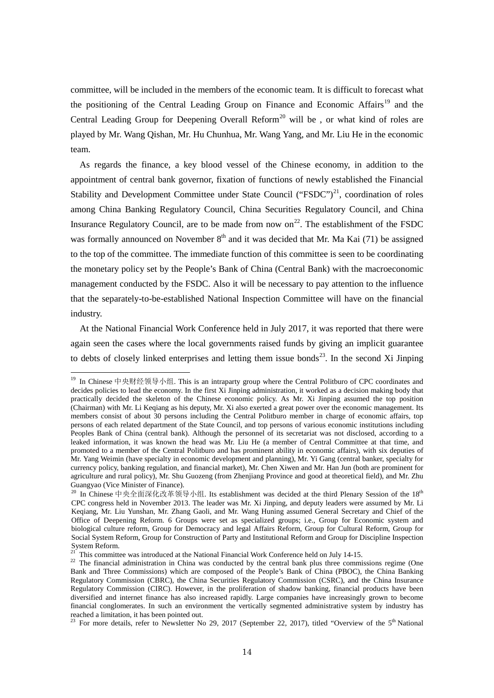committee, will be included in the members of the economic team. It is difficult to forecast what the positioning of the Central Leading Group on Finance and Economic Affairs<sup>[19](#page-13-0)</sup> and the Central Leading Group for Deepening Overall Reform<sup>[20](#page-13-1)</sup> will be, or what kind of roles are played by Mr. Wang Qishan, Mr. Hu Chunhua, Mr. Wang Yang, and Mr. Liu He in the economic team.

As regards the finance, a key blood vessel of the Chinese economy, in addition to the appointment of central bank governor, fixation of functions of newly established the Financial Stability and Development Committee under State Council ("FSDC")<sup>21</sup>, coordination of roles among China Banking Regulatory Council, China Securities Regulatory Council, and China Insurance Regulatory Council, are to be made from now on<sup>22</sup>. The establishment of the FSDC was formally announced on November  $8<sup>th</sup>$  and it was decided that Mr. Ma Kai (71) be assigned to the top of the committee. The immediate function of this committee is seen to be coordinating the monetary policy set by the People's Bank of China (Central Bank) with the macroeconomic management conducted by the FSDC. Also it will be necessary to pay attention to the influence that the separately-to-be-established National Inspection Committee will have on the financial industry.

At the National Financial Work Conference held in July 2017, it was reported that there were again seen the cases where the local governments raised funds by giving an implicit guarantee to debts of closely linked enterprises and letting them issue bonds<sup>[23](#page-13-4)</sup>. In the second Xi Jinping

1

<span id="page-13-0"></span><sup>19</sup> In Chinese 中央财经领导小组. This is an intraparty group where the Central Politburo of CPC coordinates and decides policies to lead the economy. In the first Xi Jinping administration, it worked as a decision making body that practically decided the skeleton of the Chinese economic policy. As Mr. Xi Jinping assumed the top position (Chairman) with Mr. Li Keqiang as his deputy, Mr. Xi also exerted a great power over the economic management. Its members consist of about 30 persons including the Central Politburo member in charge of economic affairs, top persons of each related department of the State Council, and top persons of various economic institutions including Peoples Bank of China (central bank). Although the personnel of its secretariat was not disclosed, according to a leaked information, it was known the head was Mr. Liu He (a member of Central Committee at that time, and promoted to a member of the Central Politburo and has prominent ability in economic affairs), with six deputies of Mr. Yang Weimin (have specialty in economic development and planning), Mr. Yi Gang (central banker, specialty for currency policy, banking regulation, and financial market), Mr. Chen Xiwen and Mr. Han Jun (both are prominent for agriculture and rural policy), Mr. Shu Guozeng (from Zhenjiang Province and good at theoretical field), and Mr. Zhu Guangyao (Vice Minister of Finance).

<span id="page-13-1"></span><sup>&</sup>lt;sup>20</sup> In Chinese 中央全面深化改革领导小组. Its establishment was decided at the third Plenary Session of the 18<sup>th</sup> CPC congress held in November 2013. The leader was Mr. Xi Jinping, and deputy leaders were assumed by Mr. Li Keqiang, Mr. Liu Yunshan, Mr. Zhang Gaoli, and Mr. Wang Huning assumed General Secretary and Chief of the Office of Deepening Reform. 6 Groups were set as specialized groups; i.e., Group for Economic system and biological culture reform, Group for Democracy and legal Affairs Reform, Group for Cultural Reform, Group for Social System Reform, Group for Construction of Party and Institutional Reform and Group for Discipline Inspection System Reform.<br>System Reform.<br><sup>21</sup> This committee was introduced at the National Financial Work Conference held on July 14-15.

<span id="page-13-3"></span><span id="page-13-2"></span><sup>&</sup>lt;sup>22</sup> The financial administration in China was conducted by the central bank plus three commissions regime (One Bank and Three Commissions) which are composed of the People's Bank of China (PBOC), the China Banking Regulatory Commission (CBRC), the China Securities Regulatory Commission (CSRC), and the China Insurance Regulatory Commission (CIRC). However, in the proliferation of shadow banking, financial products have been diversified and internet finance has also increased rapidly. Large companies have increasingly grown to become financial conglomerates. In such an environment the vertically segmented administrative system by industry has reached a limitation, it has been pointed out.

<span id="page-13-4"></span><sup>&</sup>lt;sup>23</sup> For more details, refer to Newsletter No 29, 2017 (September 22, 2017), titled "Overview of the  $5<sup>th</sup>$  National